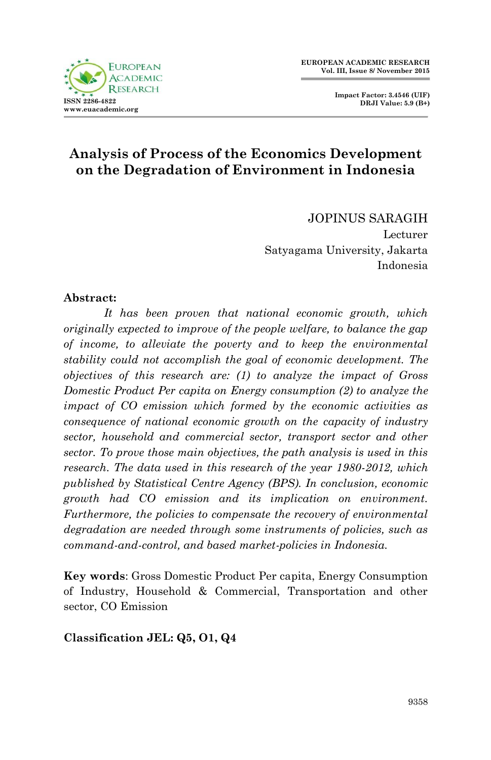**Impact Factor: 3.4546 (UIF) DRJI Value: 5.9 (B+)**



# **Analysis of Process of the Economics Development on the Degradation of Environment in Indonesia**

JOPINUS SARAGIH Lecturer Satyagama University, Jakarta Indonesia

#### **Abstract:**

*It has been proven that national economic growth, which originally expected to improve of the people welfare, to balance the gap of income, to alleviate the poverty and to keep the environmental stability could not accomplish the goal of economic development. The objectives of this research are: (1) to analyze the impact of Gross Domestic Product Per capita on Energy consumption (2) to analyze the impact of CO emission which formed by the economic activities as consequence of national economic growth on the capacity of industry sector, household and commercial sector, transport sector and other sector. To prove those main objectives, the path analysis is used in this research. The data used in this research of the year 1980-2012, which published by Statistical Centre Agency (BPS). In conclusion, economic growth had CO emission and its implication on environment. Furthermore, the policies to compensate the recovery of environmental degradation are needed through some instruments of policies, such as command-and-control, and based market-policies in Indonesia.* 

**Key words**: Gross Domestic Product Per capita, Energy Consumption of Industry, Household & Commercial, Transportation and other sector, CO Emission

**Classification JEL: Q5, O1, Q4**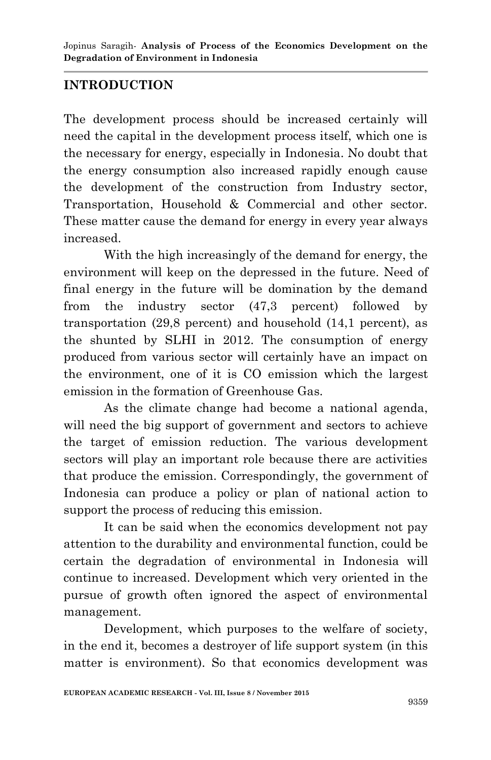### **INTRODUCTION**

The development process should be increased certainly will need the capital in the development process itself, which one is the necessary for energy, especially in Indonesia. No doubt that the energy consumption also increased rapidly enough cause the development of the construction from Industry sector, Transportation, Household & Commercial and other sector. These matter cause the demand for energy in every year always increased.

With the high increasingly of the demand for energy, the environment will keep on the depressed in the future. Need of final energy in the future will be domination by the demand from the industry sector (47,3 percent) followed by transportation (29,8 percent) and household (14,1 percent), as the shunted by SLHI in 2012. The consumption of energy produced from various sector will certainly have an impact on the environment, one of it is CO emission which the largest emission in the formation of Greenhouse Gas.

As the climate change had become a national agenda, will need the big support of government and sectors to achieve the target of emission reduction. The various development sectors will play an important role because there are activities that produce the emission. Correspondingly, the government of Indonesia can produce a policy or plan of national action to support the process of reducing this emission.

It can be said when the economics development not pay attention to the durability and environmental function, could be certain the degradation of environmental in Indonesia will continue to increased. Development which very oriented in the pursue of growth often ignored the aspect of environmental management.

Development, which purposes to the welfare of society, in the end it, becomes a destroyer of life support system (in this matter is environment). So that economics development was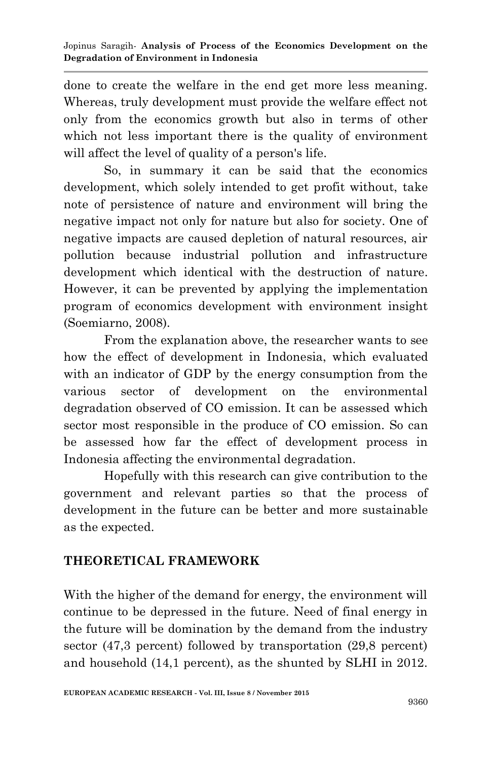done to create the welfare in the end get more less meaning. Whereas, truly development must provide the welfare effect not only from the economics growth but also in terms of other which not less important there is the quality of environment will affect the level of quality of a person's life.

So, in summary it can be said that the economics development, which solely intended to get profit without, take note of persistence of nature and environment will bring the negative impact not only for nature but also for society. One of negative impacts are caused depletion of natural resources, air pollution because industrial pollution and infrastructure development which identical with the destruction of nature. However, it can be prevented by applying the implementation program of economics development with environment insight (Soemiarno, 2008).

From the explanation above, the researcher wants to see how the effect of development in Indonesia, which evaluated with an indicator of GDP by the energy consumption from the various sector of development on the environmental degradation observed of CO emission. It can be assessed which sector most responsible in the produce of CO emission. So can be assessed how far the effect of development process in Indonesia affecting the environmental degradation.

Hopefully with this research can give contribution to the government and relevant parties so that the process of development in the future can be better and more sustainable as the expected.

# **THEORETICAL FRAMEWORK**

With the higher of the demand for energy, the environment will continue to be depressed in the future. Need of final energy in the future will be domination by the demand from the industry sector (47,3 percent) followed by transportation (29,8 percent) and household (14,1 percent), as the shunted by SLHI in 2012.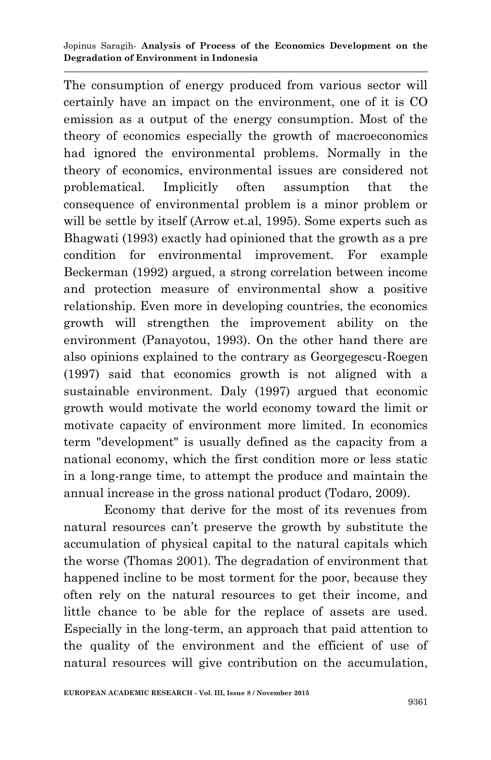The consumption of energy produced from various sector will certainly have an impact on the environment, one of it is CO emission as a output of the energy consumption. Most of the theory of economics especially the growth of macroeconomics had ignored the environmental problems. Normally in the theory of economics, environmental issues are considered not problematical. Implicitly often assumption that the consequence of environmental problem is a minor problem or will be settle by itself (Arrow et.al, 1995). Some experts such as Bhagwati (1993) exactly had opinioned that the growth as a pre condition for environmental improvement. For example Beckerman (1992) argued, a strong correlation between income and protection measure of environmental show a positive relationship. Even more in developing countries, the economics growth will strengthen the improvement ability on the environment (Panayotou, 1993). On the other hand there are also opinions explained to the contrary as Georgegescu-Roegen (1997) said that economics growth is not aligned with a sustainable environment. Daly (1997) argued that economic growth would motivate the world economy toward the limit or motivate capacity of environment more limited. In economics term "development" is usually defined as the capacity from a national economy, which the first condition more or less static in a long-range time, to attempt the produce and maintain the annual increase in the gross national product (Todaro, 2009).

Economy that derive for the most of its revenues from natural resources can't preserve the growth by substitute the accumulation of physical capital to the natural capitals which the worse (Thomas 2001). The degradation of environment that happened incline to be most torment for the poor, because they often rely on the natural resources to get their income, and little chance to be able for the replace of assets are used. Especially in the long-term, an approach that paid attention to the quality of the environment and the efficient of use of natural resources will give contribution on the accumulation,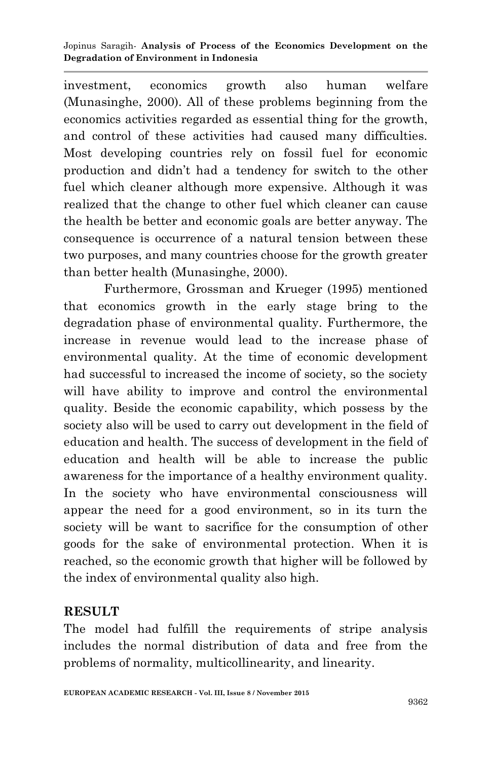investment, economics growth also human welfare (Munasinghe, 2000). All of these problems beginning from the economics activities regarded as essential thing for the growth, and control of these activities had caused many difficulties. Most developing countries rely on fossil fuel for economic production and didn't had a tendency for switch to the other fuel which cleaner although more expensive. Although it was realized that the change to other fuel which cleaner can cause the health be better and economic goals are better anyway. The consequence is occurrence of a natural tension between these two purposes, and many countries choose for the growth greater than better health (Munasinghe, 2000).

Furthermore, Grossman and Krueger (1995) mentioned that economics growth in the early stage bring to the degradation phase of environmental quality. Furthermore, the increase in revenue would lead to the increase phase of environmental quality. At the time of economic development had successful to increased the income of society, so the society will have ability to improve and control the environmental quality. Beside the economic capability, which possess by the society also will be used to carry out development in the field of education and health. The success of development in the field of education and health will be able to increase the public awareness for the importance of a healthy environment quality. In the society who have environmental consciousness will appear the need for a good environment, so in its turn the society will be want to sacrifice for the consumption of other goods for the sake of environmental protection. When it is reached, so the economic growth that higher will be followed by the index of environmental quality also high.

### **RESULT**

The model had fulfill the requirements of stripe analysis includes the normal distribution of data and free from the problems of normality, multicollinearity, and linearity.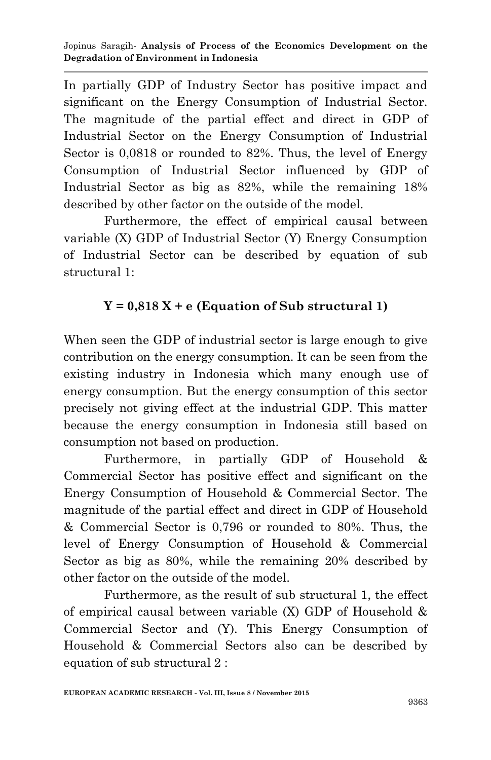In partially GDP of Industry Sector has positive impact and significant on the Energy Consumption of Industrial Sector. The magnitude of the partial effect and direct in GDP of Industrial Sector on the Energy Consumption of Industrial Sector is 0,0818 or rounded to 82%. Thus, the level of Energy Consumption of Industrial Sector influenced by GDP of Industrial Sector as big as 82%, while the remaining 18% described by other factor on the outside of the model.

Furthermore, the effect of empirical causal between variable (X) GDP of Industrial Sector (Y) Energy Consumption of Industrial Sector can be described by equation of sub structural 1:

# $Y = 0,818 X + e$  (Equation of Sub structural 1)

When seen the GDP of industrial sector is large enough to give contribution on the energy consumption. It can be seen from the existing industry in Indonesia which many enough use of energy consumption. But the energy consumption of this sector precisely not giving effect at the industrial GDP. This matter because the energy consumption in Indonesia still based on consumption not based on production.

Furthermore, in partially GDP of Household & Commercial Sector has positive effect and significant on the Energy Consumption of Household & Commercial Sector. The magnitude of the partial effect and direct in GDP of Household & Commercial Sector is 0,796 or rounded to 80%. Thus, the level of Energy Consumption of Household & Commercial Sector as big as 80%, while the remaining 20% described by other factor on the outside of the model.

Furthermore, as the result of sub structural 1, the effect of empirical causal between variable (X) GDP of Household & Commercial Sector and (Y). This Energy Consumption of Household & Commercial Sectors also can be described by equation of sub structural 2 :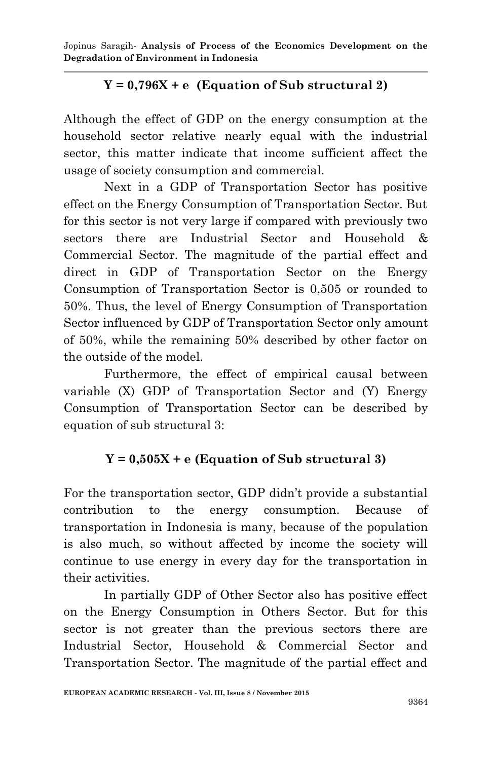Jopinus Saragih*-* **Analysis of Process of the Economics Development on the Degradation of Environment in Indonesia**

# $Y = 0.796X + e$  (Equation of Sub structural 2)

Although the effect of GDP on the energy consumption at the household sector relative nearly equal with the industrial sector, this matter indicate that income sufficient affect the usage of society consumption and commercial.

Next in a GDP of Transportation Sector has positive effect on the Energy Consumption of Transportation Sector. But for this sector is not very large if compared with previously two sectors there are Industrial Sector and Household & Commercial Sector. The magnitude of the partial effect and direct in GDP of Transportation Sector on the Energy Consumption of Transportation Sector is 0,505 or rounded to 50%. Thus, the level of Energy Consumption of Transportation Sector influenced by GDP of Transportation Sector only amount of 50%, while the remaining 50% described by other factor on the outside of the model.

Furthermore, the effect of empirical causal between variable (X) GDP of Transportation Sector and (Y) Energy Consumption of Transportation Sector can be described by equation of sub structural 3:

### $Y = 0.505X + e$  (Equation of Sub structural 3)

For the transportation sector, GDP didn't provide a substantial contribution to the energy consumption. Because of transportation in Indonesia is many, because of the population is also much, so without affected by income the society will continue to use energy in every day for the transportation in their activities.

In partially GDP of Other Sector also has positive effect on the Energy Consumption in Others Sector. But for this sector is not greater than the previous sectors there are Industrial Sector, Household & Commercial Sector and Transportation Sector. The magnitude of the partial effect and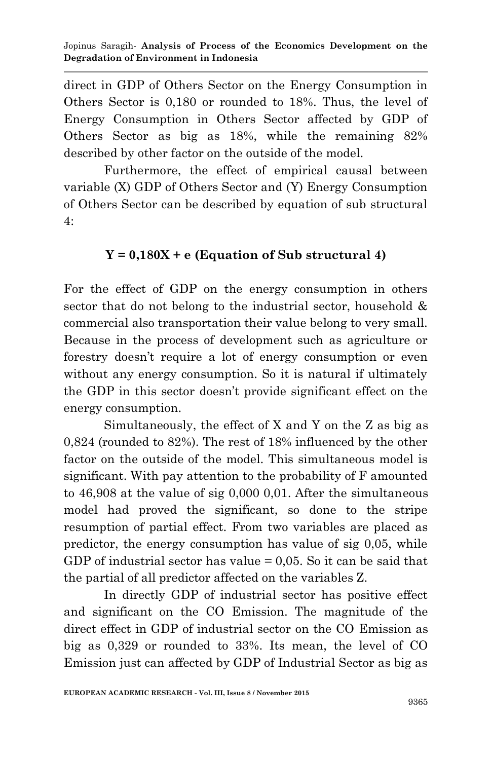direct in GDP of Others Sector on the Energy Consumption in Others Sector is 0,180 or rounded to 18%. Thus, the level of Energy Consumption in Others Sector affected by GDP of Others Sector as big as 18%, while the remaining 82% described by other factor on the outside of the model.

Furthermore, the effect of empirical causal between variable (X) GDP of Others Sector and (Y) Energy Consumption of Others Sector can be described by equation of sub structural 4:

### $Y = 0.180X + e$  (Equation of Sub structural 4)

For the effect of GDP on the energy consumption in others sector that do not belong to the industrial sector, household & commercial also transportation their value belong to very small. Because in the process of development such as agriculture or forestry doesn't require a lot of energy consumption or even without any energy consumption. So it is natural if ultimately the GDP in this sector doesn't provide significant effect on the energy consumption.

Simultaneously, the effect of X and Y on the Z as big as 0,824 (rounded to 82%). The rest of 18% influenced by the other factor on the outside of the model. This simultaneous model is significant. With pay attention to the probability of F amounted to 46,908 at the value of sig 0,000 0,01. After the simultaneous model had proved the significant, so done to the stripe resumption of partial effect. From two variables are placed as predictor, the energy consumption has value of sig 0,05, while GDP of industrial sector has value = 0,05. So it can be said that the partial of all predictor affected on the variables Z.

In directly GDP of industrial sector has positive effect and significant on the CO Emission. The magnitude of the direct effect in GDP of industrial sector on the CO Emission as big as 0,329 or rounded to 33%. Its mean, the level of CO Emission just can affected by GDP of Industrial Sector as big as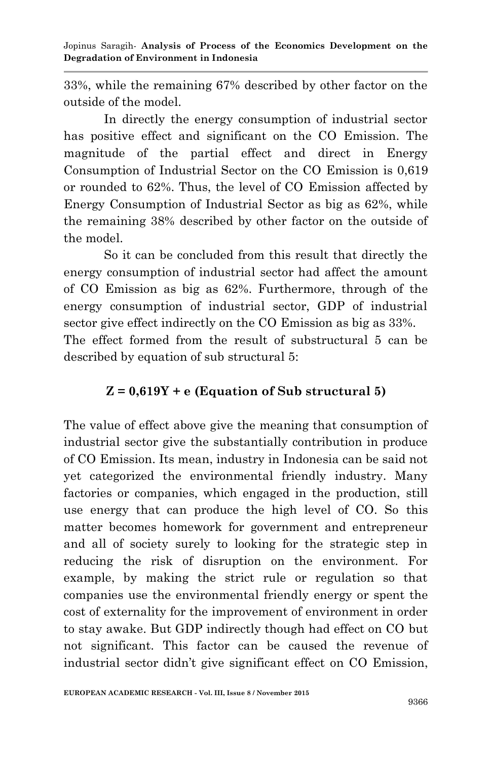Jopinus Saragih*-* **Analysis of Process of the Economics Development on the Degradation of Environment in Indonesia**

33%, while the remaining 67% described by other factor on the outside of the model.

In directly the energy consumption of industrial sector has positive effect and significant on the CO Emission. The magnitude of the partial effect and direct in Energy Consumption of Industrial Sector on the CO Emission is 0,619 or rounded to 62%. Thus, the level of CO Emission affected by Energy Consumption of Industrial Sector as big as 62%, while the remaining 38% described by other factor on the outside of the model.

So it can be concluded from this result that directly the energy consumption of industrial sector had affect the amount of CO Emission as big as 62%. Furthermore, through of the energy consumption of industrial sector, GDP of industrial sector give effect indirectly on the CO Emission as big as 33%. The effect formed from the result of substructural 5 can be described by equation of sub structural 5:

### **Z = 0,619Y + e (Equation of Sub structural 5)**

The value of effect above give the meaning that consumption of industrial sector give the substantially contribution in produce of CO Emission. Its mean, industry in Indonesia can be said not yet categorized the environmental friendly industry. Many factories or companies, which engaged in the production, still use energy that can produce the high level of CO. So this matter becomes homework for government and entrepreneur and all of society surely to looking for the strategic step in reducing the risk of disruption on the environment. For example, by making the strict rule or regulation so that companies use the environmental friendly energy or spent the cost of externality for the improvement of environment in order to stay awake. But GDP indirectly though had effect on CO but not significant. This factor can be caused the revenue of industrial sector didn't give significant effect on CO Emission,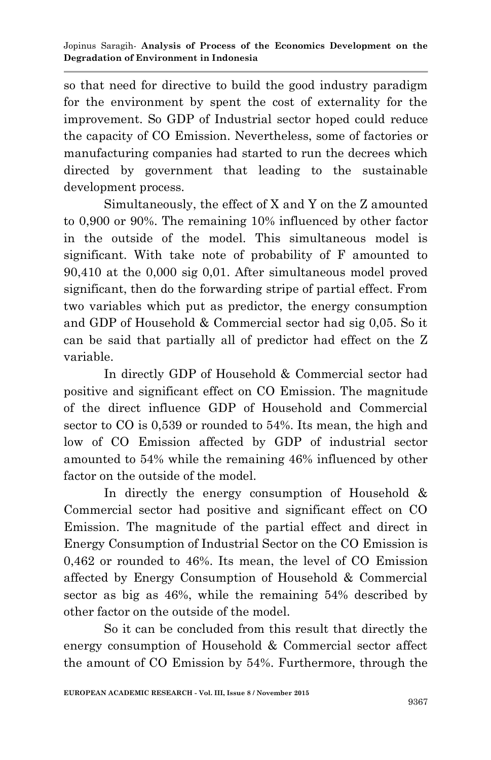so that need for directive to build the good industry paradigm for the environment by spent the cost of externality for the improvement. So GDP of Industrial sector hoped could reduce the capacity of CO Emission. Nevertheless, some of factories or manufacturing companies had started to run the decrees which directed by government that leading to the sustainable development process.

Simultaneously, the effect of X and Y on the Z amounted to 0,900 or 90%. The remaining 10% influenced by other factor in the outside of the model. This simultaneous model is significant. With take note of probability of F amounted to 90,410 at the 0,000 sig 0,01. After simultaneous model proved significant, then do the forwarding stripe of partial effect. From two variables which put as predictor, the energy consumption and GDP of Household & Commercial sector had sig 0,05. So it can be said that partially all of predictor had effect on the Z variable.

In directly GDP of Household & Commercial sector had positive and significant effect on CO Emission. The magnitude of the direct influence GDP of Household and Commercial sector to CO is 0,539 or rounded to 54%. Its mean, the high and low of CO Emission affected by GDP of industrial sector amounted to 54% while the remaining 46% influenced by other factor on the outside of the model.

In directly the energy consumption of Household & Commercial sector had positive and significant effect on CO Emission. The magnitude of the partial effect and direct in Energy Consumption of Industrial Sector on the CO Emission is 0,462 or rounded to 46%. Its mean, the level of CO Emission affected by Energy Consumption of Household & Commercial sector as big as 46%, while the remaining 54% described by other factor on the outside of the model.

So it can be concluded from this result that directly the energy consumption of Household & Commercial sector affect the amount of CO Emission by 54%. Furthermore, through the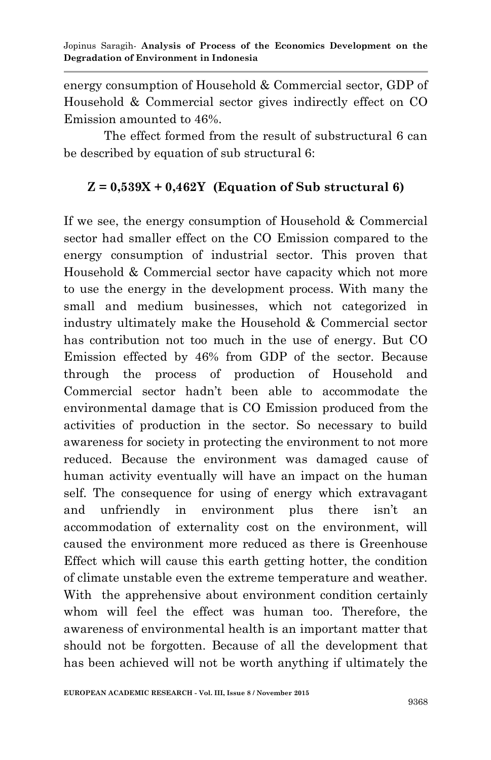energy consumption of Household & Commercial sector, GDP of Household & Commercial sector gives indirectly effect on CO Emission amounted to 46%.

The effect formed from the result of substructural 6 can be described by equation of sub structural 6:

### **Z = 0,539X + 0,462Y (Equation of Sub structural 6)**

If we see, the energy consumption of Household & Commercial sector had smaller effect on the CO Emission compared to the energy consumption of industrial sector. This proven that Household & Commercial sector have capacity which not more to use the energy in the development process. With many the small and medium businesses, which not categorized in industry ultimately make the Household & Commercial sector has contribution not too much in the use of energy. But CO Emission effected by 46% from GDP of the sector. Because through the process of production of Household and Commercial sector hadn't been able to accommodate the environmental damage that is CO Emission produced from the activities of production in the sector. So necessary to build awareness for society in protecting the environment to not more reduced. Because the environment was damaged cause of human activity eventually will have an impact on the human self. The consequence for using of energy which extravagant and unfriendly in environment plus there isn't an accommodation of externality cost on the environment, will caused the environment more reduced as there is Greenhouse Effect which will cause this earth getting hotter, the condition of climate unstable even the extreme temperature and weather. With the apprehensive about environment condition certainly whom will feel the effect was human too. Therefore, the awareness of environmental health is an important matter that should not be forgotten. Because of all the development that has been achieved will not be worth anything if ultimately the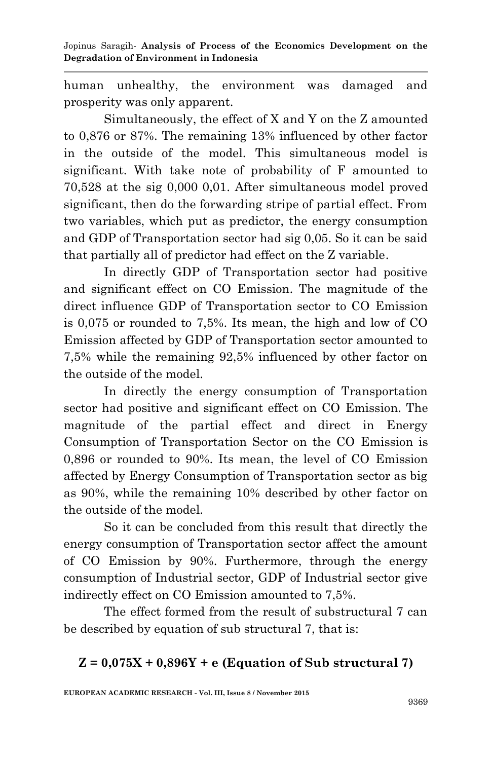Jopinus Saragih*-* **Analysis of Process of the Economics Development on the Degradation of Environment in Indonesia**

human unhealthy, the environment was damaged and prosperity was only apparent.

Simultaneously, the effect of X and Y on the Z amounted to 0,876 or 87%. The remaining 13% influenced by other factor in the outside of the model. This simultaneous model is significant. With take note of probability of F amounted to 70,528 at the sig 0,000 0,01. After simultaneous model proved significant, then do the forwarding stripe of partial effect. From two variables, which put as predictor, the energy consumption and GDP of Transportation sector had sig 0,05. So it can be said that partially all of predictor had effect on the Z variable.

In directly GDP of Transportation sector had positive and significant effect on CO Emission. The magnitude of the direct influence GDP of Transportation sector to CO Emission is 0,075 or rounded to 7,5%. Its mean, the high and low of CO Emission affected by GDP of Transportation sector amounted to 7,5% while the remaining 92,5% influenced by other factor on the outside of the model.

In directly the energy consumption of Transportation sector had positive and significant effect on CO Emission. The magnitude of the partial effect and direct in Energy Consumption of Transportation Sector on the CO Emission is 0,896 or rounded to 90%. Its mean, the level of CO Emission affected by Energy Consumption of Transportation sector as big as 90%, while the remaining 10% described by other factor on the outside of the model.

So it can be concluded from this result that directly the energy consumption of Transportation sector affect the amount of CO Emission by 90%. Furthermore, through the energy consumption of Industrial sector, GDP of Industrial sector give indirectly effect on CO Emission amounted to 7,5%.

The effect formed from the result of substructural 7 can be described by equation of sub structural 7, that is:

### **Z = 0,075X + 0,896Y + e (Equation of Sub structural 7)**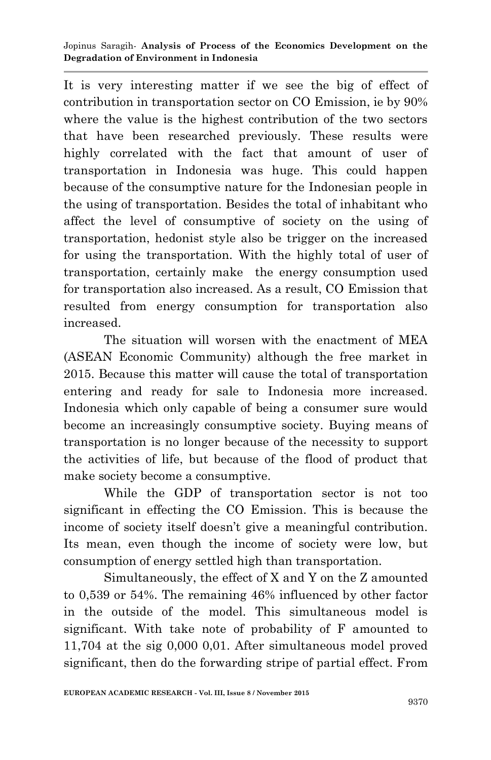Jopinus Saragih*-* **Analysis of Process of the Economics Development on the Degradation of Environment in Indonesia**

It is very interesting matter if we see the big of effect of contribution in transportation sector on CO Emission, ie by 90% where the value is the highest contribution of the two sectors that have been researched previously. These results were highly correlated with the fact that amount of user of transportation in Indonesia was huge. This could happen because of the consumptive nature for the Indonesian people in the using of transportation. Besides the total of inhabitant who affect the level of consumptive of society on the using of transportation, hedonist style also be trigger on the increased for using the transportation. With the highly total of user of transportation, certainly make the energy consumption used for transportation also increased. As a result, CO Emission that resulted from energy consumption for transportation also increased.

The situation will worsen with the enactment of MEA (ASEAN Economic Community) although the free market in 2015. Because this matter will cause the total of transportation entering and ready for sale to Indonesia more increased. Indonesia which only capable of being a consumer sure would become an increasingly consumptive society. Buying means of transportation is no longer because of the necessity to support the activities of life, but because of the flood of product that make society become a consumptive.

While the GDP of transportation sector is not too significant in effecting the CO Emission. This is because the income of society itself doesn't give a meaningful contribution. Its mean, even though the income of society were low, but consumption of energy settled high than transportation.

Simultaneously, the effect of X and Y on the Z amounted to 0,539 or 54%. The remaining 46% influenced by other factor in the outside of the model. This simultaneous model is significant. With take note of probability of F amounted to 11,704 at the sig 0,000 0,01. After simultaneous model proved significant, then do the forwarding stripe of partial effect. From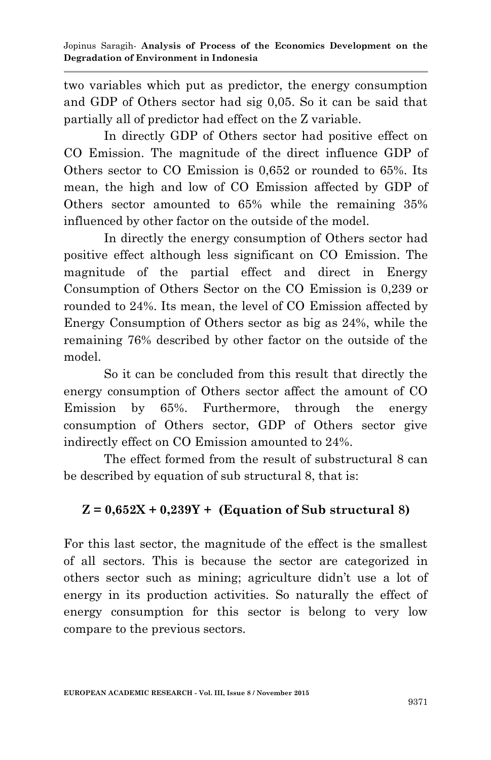two variables which put as predictor, the energy consumption and GDP of Others sector had sig 0,05. So it can be said that partially all of predictor had effect on the Z variable.

In directly GDP of Others sector had positive effect on CO Emission. The magnitude of the direct influence GDP of Others sector to CO Emission is 0,652 or rounded to 65%. Its mean, the high and low of CO Emission affected by GDP of Others sector amounted to 65% while the remaining 35% influenced by other factor on the outside of the model.

In directly the energy consumption of Others sector had positive effect although less significant on CO Emission. The magnitude of the partial effect and direct in Energy Consumption of Others Sector on the CO Emission is 0,239 or rounded to 24%. Its mean, the level of CO Emission affected by Energy Consumption of Others sector as big as 24%, while the remaining 76% described by other factor on the outside of the model.

So it can be concluded from this result that directly the energy consumption of Others sector affect the amount of CO Emission by 65%. Furthermore, through the energy consumption of Others sector, GDP of Others sector give indirectly effect on CO Emission amounted to 24%.

The effect formed from the result of substructural 8 can be described by equation of sub structural 8, that is:

# **Z = 0,652X + 0,239Y + (Equation of Sub structural 8)**

For this last sector, the magnitude of the effect is the smallest of all sectors. This is because the sector are categorized in others sector such as mining; agriculture didn't use a lot of energy in its production activities. So naturally the effect of energy consumption for this sector is belong to very low compare to the previous sectors.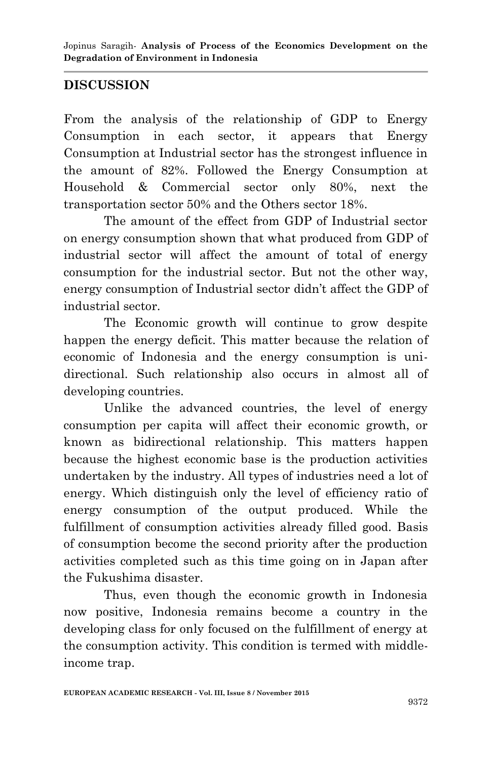### **DISCUSSION**

From the analysis of the relationship of GDP to Energy Consumption in each sector, it appears that Energy Consumption at Industrial sector has the strongest influence in the amount of 82%. Followed the Energy Consumption at Household & Commercial sector only 80%, next the transportation sector 50% and the Others sector 18%.

The amount of the effect from GDP of Industrial sector on energy consumption shown that what produced from GDP of industrial sector will affect the amount of total of energy consumption for the industrial sector. But not the other way, energy consumption of Industrial sector didn't affect the GDP of industrial sector.

The Economic growth will continue to grow despite happen the energy deficit. This matter because the relation of economic of Indonesia and the energy consumption is unidirectional. Such relationship also occurs in almost all of developing countries.

Unlike the advanced countries, the level of energy consumption per capita will affect their economic growth, or known as bidirectional relationship. This matters happen because the highest economic base is the production activities undertaken by the industry. All types of industries need a lot of energy. Which distinguish only the level of efficiency ratio of energy consumption of the output produced. While the fulfillment of consumption activities already filled good. Basis of consumption become the second priority after the production activities completed such as this time going on in Japan after the Fukushima disaster.

Thus, even though the economic growth in Indonesia now positive, Indonesia remains become a country in the developing class for only focused on the fulfillment of energy at the consumption activity. This condition is termed with middleincome trap.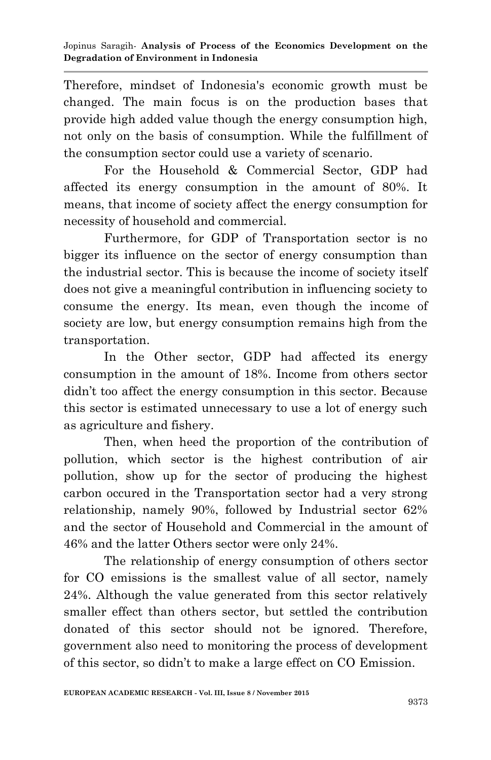Therefore, mindset of Indonesia's economic growth must be changed. The main focus is on the production bases that provide high added value though the energy consumption high, not only on the basis of consumption. While the fulfillment of the consumption sector could use a variety of scenario.

For the Household & Commercial Sector, GDP had affected its energy consumption in the amount of 80%. It means, that income of society affect the energy consumption for necessity of household and commercial.

Furthermore, for GDP of Transportation sector is no bigger its influence on the sector of energy consumption than the industrial sector. This is because the income of society itself does not give a meaningful contribution in influencing society to consume the energy. Its mean, even though the income of society are low, but energy consumption remains high from the transportation.

In the Other sector, GDP had affected its energy consumption in the amount of 18%. Income from others sector didn't too affect the energy consumption in this sector. Because this sector is estimated unnecessary to use a lot of energy such as agriculture and fishery.

Then, when heed the proportion of the contribution of pollution, which sector is the highest contribution of air pollution, show up for the sector of producing the highest carbon occured in the Transportation sector had a very strong relationship, namely 90%, followed by Industrial sector 62% and the sector of Household and Commercial in the amount of 46% and the latter Others sector were only 24%.

The relationship of energy consumption of others sector for CO emissions is the smallest value of all sector, namely 24%. Although the value generated from this sector relatively smaller effect than others sector, but settled the contribution donated of this sector should not be ignored. Therefore, government also need to monitoring the process of development of this sector, so didn't to make a large effect on CO Emission.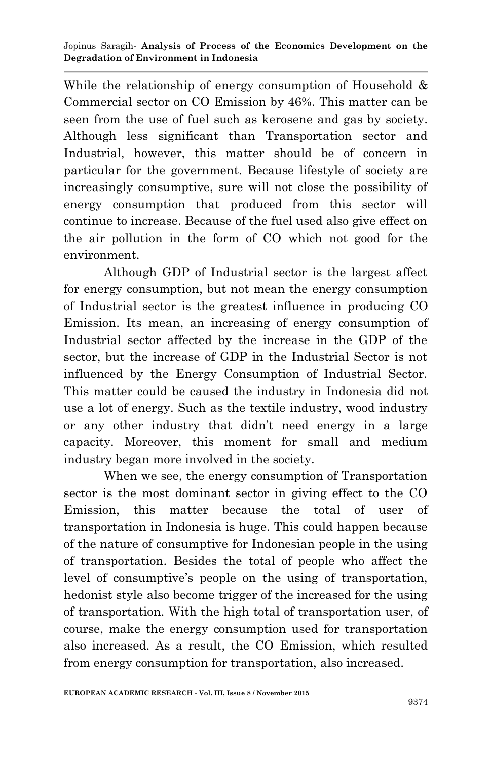While the relationship of energy consumption of Household & Commercial sector on CO Emission by 46%. This matter can be seen from the use of fuel such as kerosene and gas by society. Although less significant than Transportation sector and Industrial, however, this matter should be of concern in particular for the government. Because lifestyle of society are increasingly consumptive, sure will not close the possibility of energy consumption that produced from this sector will continue to increase. Because of the fuel used also give effect on the air pollution in the form of CO which not good for the environment.

Although GDP of Industrial sector is the largest affect for energy consumption, but not mean the energy consumption of Industrial sector is the greatest influence in producing CO Emission. Its mean, an increasing of energy consumption of Industrial sector affected by the increase in the GDP of the sector, but the increase of GDP in the Industrial Sector is not influenced by the Energy Consumption of Industrial Sector. This matter could be caused the industry in Indonesia did not use a lot of energy. Such as the textile industry, wood industry or any other industry that didn't need energy in a large capacity. Moreover, this moment for small and medium industry began more involved in the society.

When we see, the energy consumption of Transportation sector is the most dominant sector in giving effect to the CO Emission, this matter because the total of user of transportation in Indonesia is huge. This could happen because of the nature of consumptive for Indonesian people in the using of transportation. Besides the total of people who affect the level of consumptive's people on the using of transportation, hedonist style also become trigger of the increased for the using of transportation. With the high total of transportation user, of course, make the energy consumption used for transportation also increased. As a result, the CO Emission, which resulted from energy consumption for transportation, also increased.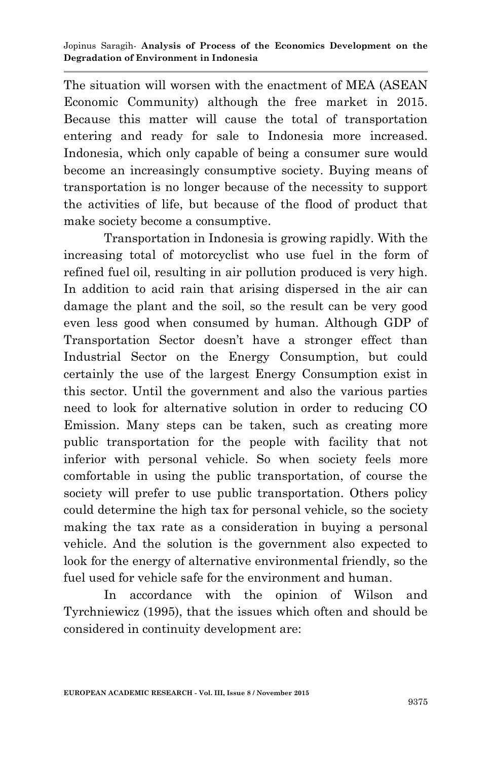The situation will worsen with the enactment of MEA (ASEAN Economic Community) although the free market in 2015. Because this matter will cause the total of transportation entering and ready for sale to Indonesia more increased. Indonesia, which only capable of being a consumer sure would become an increasingly consumptive society. Buying means of transportation is no longer because of the necessity to support the activities of life, but because of the flood of product that make society become a consumptive.

Transportation in Indonesia is growing rapidly. With the increasing total of motorcyclist who use fuel in the form of refined fuel oil, resulting in air pollution produced is very high. In addition to acid rain that arising dispersed in the air can damage the plant and the soil, so the result can be very good even less good when consumed by human. Although GDP of Transportation Sector doesn't have a stronger effect than Industrial Sector on the Energy Consumption, but could certainly the use of the largest Energy Consumption exist in this sector. Until the government and also the various parties need to look for alternative solution in order to reducing CO Emission. Many steps can be taken, such as creating more public transportation for the people with facility that not inferior with personal vehicle. So when society feels more comfortable in using the public transportation, of course the society will prefer to use public transportation. Others policy could determine the high tax for personal vehicle, so the society making the tax rate as a consideration in buying a personal vehicle. And the solution is the government also expected to look for the energy of alternative environmental friendly, so the fuel used for vehicle safe for the environment and human.

In accordance with the opinion of Wilson and Tyrchniewicz (1995), that the issues which often and should be considered in continuity development are: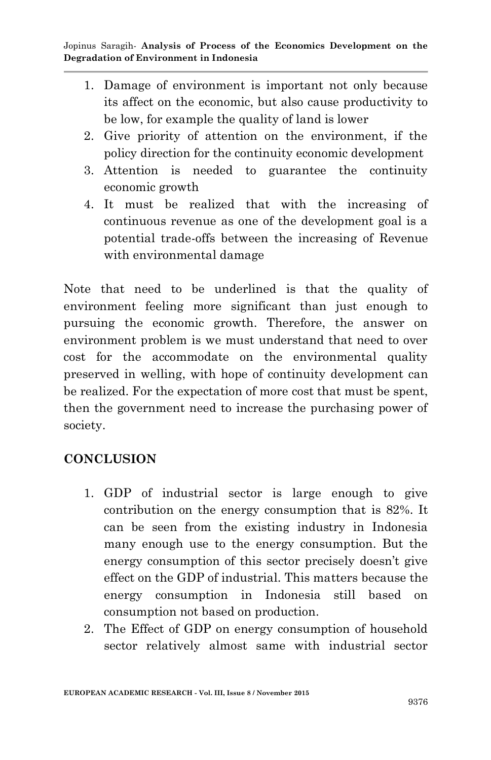- 1. Damage of environment is important not only because its affect on the economic, but also cause productivity to be low, for example the quality of land is lower
- 2. Give priority of attention on the environment, if the policy direction for the continuity economic development
- 3. Attention is needed to guarantee the continuity economic growth
- 4. It must be realized that with the increasing of continuous revenue as one of the development goal is a potential trade-offs between the increasing of Revenue with environmental damage

Note that need to be underlined is that the quality of environment feeling more significant than just enough to pursuing the economic growth. Therefore, the answer on environment problem is we must understand that need to over cost for the accommodate on the environmental quality preserved in welling, with hope of continuity development can be realized. For the expectation of more cost that must be spent, then the government need to increase the purchasing power of society.

# **CONCLUSION**

- 1. GDP of industrial sector is large enough to give contribution on the energy consumption that is 82%. It can be seen from the existing industry in Indonesia many enough use to the energy consumption. But the energy consumption of this sector precisely doesn't give effect on the GDP of industrial. This matters because the energy consumption in Indonesia still based on consumption not based on production.
- 2. The Effect of GDP on energy consumption of household sector relatively almost same with industrial sector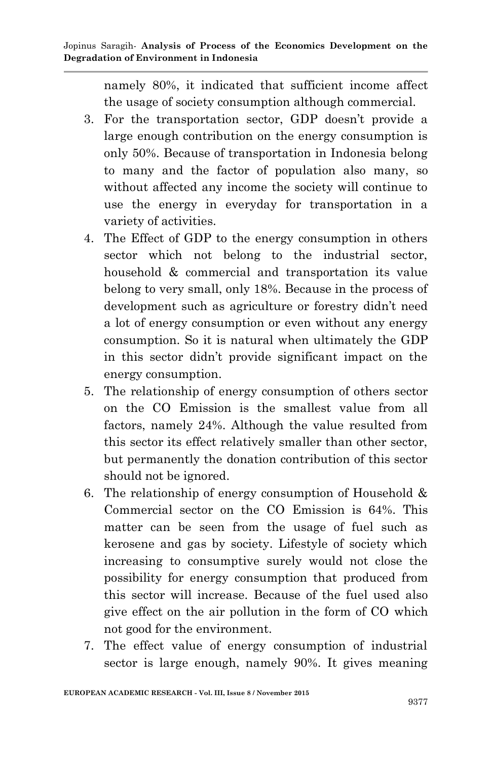namely 80%, it indicated that sufficient income affect the usage of society consumption although commercial.

- 3. For the transportation sector, GDP doesn't provide a large enough contribution on the energy consumption is only 50%. Because of transportation in Indonesia belong to many and the factor of population also many, so without affected any income the society will continue to use the energy in everyday for transportation in a variety of activities.
- 4. The Effect of GDP to the energy consumption in others sector which not belong to the industrial sector, household & commercial and transportation its value belong to very small, only 18%. Because in the process of development such as agriculture or forestry didn't need a lot of energy consumption or even without any energy consumption. So it is natural when ultimately the GDP in this sector didn't provide significant impact on the energy consumption.
- 5. The relationship of energy consumption of others sector on the CO Emission is the smallest value from all factors, namely 24%. Although the value resulted from this sector its effect relatively smaller than other sector, but permanently the donation contribution of this sector should not be ignored.
- 6. The relationship of energy consumption of Household & Commercial sector on the CO Emission is 64%. This matter can be seen from the usage of fuel such as kerosene and gas by society. Lifestyle of society which increasing to consumptive surely would not close the possibility for energy consumption that produced from this sector will increase. Because of the fuel used also give effect on the air pollution in the form of CO which not good for the environment.
- 7. The effect value of energy consumption of industrial sector is large enough, namely 90%. It gives meaning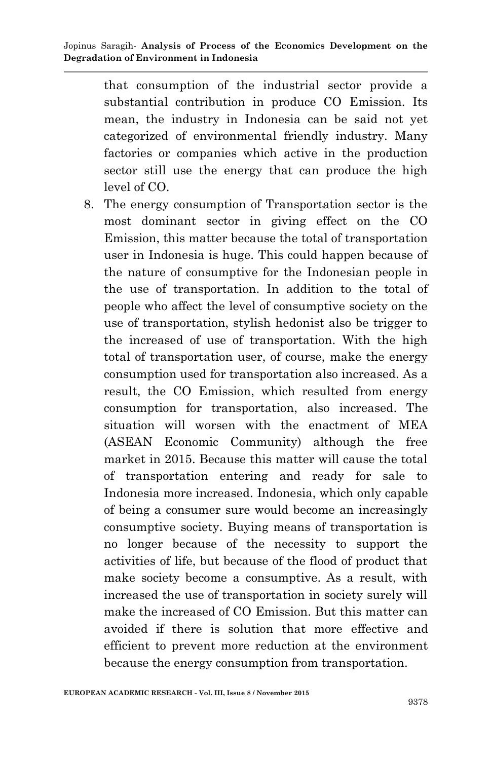that consumption of the industrial sector provide a substantial contribution in produce CO Emission. Its mean, the industry in Indonesia can be said not yet categorized of environmental friendly industry. Many factories or companies which active in the production sector still use the energy that can produce the high level of CO.

8. The energy consumption of Transportation sector is the most dominant sector in giving effect on the CO Emission, this matter because the total of transportation user in Indonesia is huge. This could happen because of the nature of consumptive for the Indonesian people in the use of transportation. In addition to the total of people who affect the level of consumptive society on the use of transportation, stylish hedonist also be trigger to the increased of use of transportation. With the high total of transportation user, of course, make the energy consumption used for transportation also increased. As a result, the CO Emission, which resulted from energy consumption for transportation, also increased. The situation will worsen with the enactment of MEA (ASEAN Economic Community) although the free market in 2015. Because this matter will cause the total of transportation entering and ready for sale to Indonesia more increased. Indonesia, which only capable of being a consumer sure would become an increasingly consumptive society. Buying means of transportation is no longer because of the necessity to support the activities of life, but because of the flood of product that make society become a consumptive. As a result, with increased the use of transportation in society surely will make the increased of CO Emission. But this matter can avoided if there is solution that more effective and efficient to prevent more reduction at the environment because the energy consumption from transportation.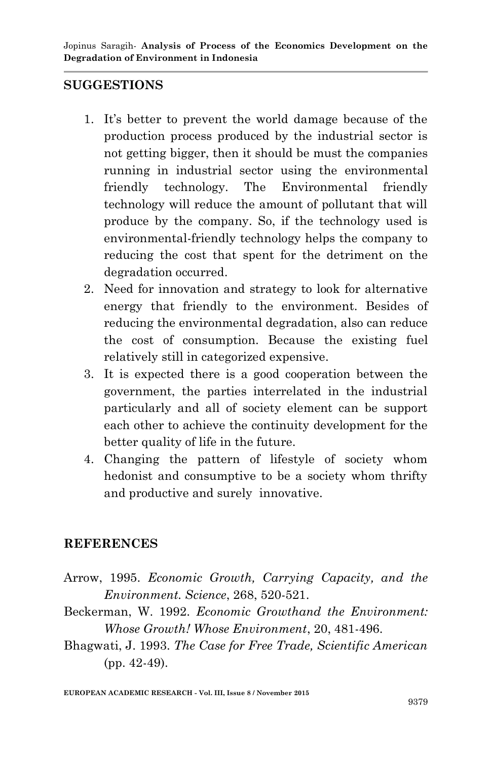#### **SUGGESTIONS**

- 1. It's better to prevent the world damage because of the production process produced by the industrial sector is not getting bigger, then it should be must the companies running in industrial sector using the environmental friendly technology. The Environmental friendly technology will reduce the amount of pollutant that will produce by the company. So, if the technology used is environmental-friendly technology helps the company to reducing the cost that spent for the detriment on the degradation occurred.
- 2. Need for innovation and strategy to look for alternative energy that friendly to the environment. Besides of reducing the environmental degradation, also can reduce the cost of consumption. Because the existing fuel relatively still in categorized expensive.
- 3. It is expected there is a good cooperation between the government, the parties interrelated in the industrial particularly and all of society element can be support each other to achieve the continuity development for the better quality of life in the future.
- 4. Changing the pattern of lifestyle of society whom hedonist and consumptive to be a society whom thrifty and productive and surely innovative.

### **REFERENCES**

- Arrow, 1995. *Economic Growth, Carrying Capacity, and the Environment. Science*, 268, 520-521.
- Beckerman, W. 1992. *Economic Growthand the Environment: Whose Growth! Whose Environment*, 20, 481-496.
- Bhagwati, J. 1993. *The Case for Free Trade, Scientific American* (pp. 42-49).